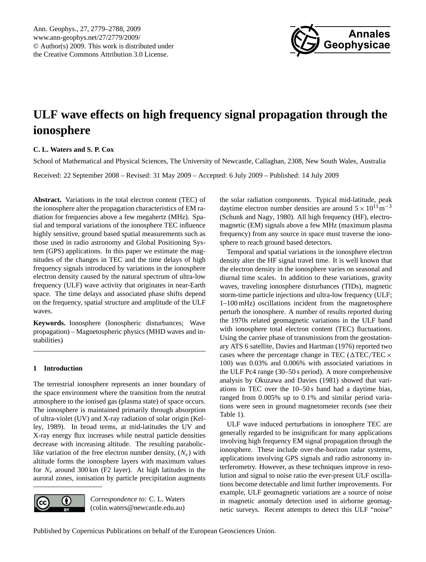

# <span id="page-0-0"></span>**ULF wave effects on high frequency signal propagation through the ionosphere**

# **C. L. Waters and S. P. Cox**

School of Mathematical and Physical Sciences, The University of Newcastle, Callaghan, 2308, New South Wales, Australia Received: 22 September 2008 – Revised: 31 May 2009 – Accepted: 6 July 2009 – Published: 14 July 2009

**Abstract.** Variations in the total electron content (TEC) of the ionosphere alter the propagation characteristics of EM radiation for frequencies above a few megahertz (MHz). Spatial and temporal variations of the ionosphere TEC influence highly sensitive, ground based spatial measurements such as those used in radio astronomy and Global Positioning System (GPS) applications. In this paper we estimate the magnitudes of the changes in TEC and the time delays of high frequency signals introduced by variations in the ionosphere electron density caused by the natural spectrum of ultra-low frequency (ULF) wave activity that originates in near-Earth space. The time delays and associated phase shifts depend on the frequency, spatial structure and amplitude of the ULF waves.

**Keywords.** Ionosphere (Ionospheric disturbances; Wave propagation) – Magnetospheric physics (MHD waves and instabilities)

# **1 Introduction**

The terrestrial ionosphere represents an inner boundary of the space environment where the transition from the neutral atmosphere to the ionised gas (plasma state) of space occurs. The ionosphere is maintained primarily through absorption of ultra-violet (UV) and X-ray radiation of solar origin [\(Kel](#page-8-0)[ley,](#page-8-0) [1989\)](#page-8-0). In broad terms, at mid-latitudes the UV and X-ray energy flux increases while neutral particle densities decrease with increasing altitude. The resulting paraboliclike variation of the free electron number density,  $(N_e)$  with altitude forms the ionosphere layers with maximum values for  $N_e$  around 300 km (F2 layer). At high latitudes in the auroral zones, ionisation by particle precipitation augments



*Correspondence to:* C. L. Waters (colin.waters@newcastle.edu.au)

the solar radiation components. Typical mid-latitude, peak daytime electron number densities are around  $5 \times 10^{11}$  m<sup>-3</sup> [\(Schunk and Nagy,](#page-8-1) [1980\)](#page-8-1). All high frequency (HF), electromagnetic (EM) signals above a few MHz (maximum plasma frequency) from any source in space must traverse the ionosphere to reach ground based detectors.

Temporal and spatial variations in the ionosphere electron density alter the HF signal travel time. It is well known that the electron density in the ionosphere varies on seasonal and diurnal time scales. In addition to these variations, gravity waves, traveling ionosphere disturbances (TIDs), magnetic storm-time particle injections and ultra-low frequency (ULF; 1–100 mHz) oscillations incident from the magnetosphere perturb the ionosphere. A number of results reported during the 1970s related geomagnetic variations in the ULF band with ionosphere total electron content (TEC) fluctuations. Using the carrier phase of transmissions from the geostationary ATS 6 satellite, [Davies and Hartman](#page-8-2) [\(1976\)](#page-8-2) reported two cases where the percentage change in TEC ( $\triangle$ TEC/TEC  $\times$ 100) was 0.03% and 0.006% with associated variations in the ULF Pc4 range (30–50 s period). A more comprehensive analysis by [Okuzawa and Davies](#page-8-3) [\(1981\)](#page-8-3) showed that variations in TEC over the 10–50 s band had a daytime bias, ranged from 0.005% up to 0.1% and similar period variations were seen in ground magnetometer records (see their Table 1).

ULF wave induced perturbations in ionosphere TEC are generally regarded to be insignificant for many applications involving high frequency EM signal propagation through the ionosphere. These include over-the-horizon radar systems, applications involving GPS signals and radio astronomy interferometry. However, as these techniques improve in resolution and signal to noise ratio the ever-present ULF oscillations become detectable and limit further improvements. For example, ULF geomagnetic variations are a source of noise in magnetic anomaly detection used in airborne geomagnetic surveys. Recent attempts to detect this ULF "noise"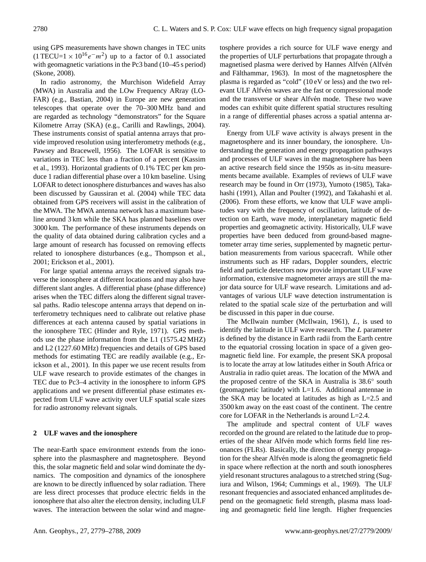using GPS measurements have shown changes in TEC units  $(1 \text{TECU=1} \times 10^{16} e^- m^2)$  up to a factor of 0.1 associated with geomagnetic variations in the Pc3 band (10–45 s period) [\(Skone,](#page-8-4) [2008\)](#page-8-4).

In radio astronomy, the Murchison Widefield Array (MWA) in Australia and the LOw Frequency ARray (LO-FAR) (e.g., [Bastian,](#page-7-0) [2004\)](#page-7-0) in Europe are new generation telescopes that operate over the 70–300 MHz band and are regarded as technology "demonstrators" for the Square Kilometre Array (SKA) (e.g., [Carilli and Rawlings,](#page-8-5) [2004\)](#page-8-5). These instruments consist of spatial antenna arrays that provide improved resolution using interferometry methods (e.g., [Pawsey and Bracewell,](#page-8-6) [1956\)](#page-8-6). The LOFAR is sensitive to variations in TEC less than a fraction of a percent [\(Kassim](#page-8-7) [et al.,](#page-8-7) [1993\)](#page-8-7). Horizontal gradients of 0.1% TEC per km produce 1 radian differential phase over a 10 km baseline. Using LOFAR to detect ionosphere disturbances and waves has also been discussed by [Gaussiran et al.](#page-8-8) [\(2004\)](#page-8-8) while TEC data obtained from GPS receivers will assist in the calibration of the MWA. The MWA antenna network has a maximum baseline around 3 km while the SKA has planned baselines over 3000 km. The performance of these instruments depends on the quality of data obtained during calibration cycles and a large amount of research has focussed on removing effects related to ionosphere disturbances (e.g., [Thompson et al.,](#page-8-9) [2001;](#page-8-9) [Erickson et al.,](#page-8-10) [2001\)](#page-8-10).

For large spatial antenna arrays the received signals traverse the ionosphere at different locations and may also have different slant angles. A differential phase (phase difference) arises when the TEC differs along the different signal traversal paths. Radio telescope antenna arrays that depend on interferometry techniques need to calibrate out relative phase differences at each antenna caused by spatial variations in the ionosphere TEC [\(Hinder and Ryle,](#page-8-11) [1971\)](#page-8-11). GPS methods use the phase information from the L1 (1575.42 MHZ) and L2 (1227.60 MHz) frequencies and details of GPS based methods for estimating TEC are readily available (e.g., [Er](#page-8-10)[ickson et al.,](#page-8-10) [2001\)](#page-8-10). In this paper we use recent results from ULF wave research to provide estimates of the changes in TEC due to Pc3–4 activity in the ionosphere to inform GPS applications and we present differential phase estimates expected from ULF wave activity over ULF spatial scale sizes for radio astronomy relevant signals.

## **2 ULF waves and the ionosphere**

The near-Earth space environment extends from the ionosphere into the plasmasphere and magnetosphere. Beyond this, the solar magnetic field and solar wind dominate the dynamics. The composition and dynamics of the ionosphere are known to be directly influenced by solar radiation. There are less direct processes that produce electric fields in the ionosphere that also alter the electron density, including ULF waves. The interaction between the solar wind and magnetosphere provides a rich source for ULF wave energy and the properties of ULF perturbations that propagate through a magnetised plasma were derived by Hannes Alfvén (Alfvén and Fälthammar, [1963\)](#page-7-1). In most of the magnetosphere the plasma is regarded as "cold" (10 eV or less) and the two relevant ULF Alfvén waves are the fast or compressional mode and the transverse or shear Alfvén mode. These two wave modes can exhibit quite different spatial structures resulting in a range of differential phases across a spatial antenna array.

Energy from ULF wave activity is always present in the magnetosphere and its inner boundary, the ionosphere. Understanding the generation and energy propagation pathways and processes of ULF waves in the magnetosphere has been an active research field since the 1950s as in-situ measurements became available. Examples of reviews of ULF wave research may be found in [Orr](#page-8-12) [\(1973\)](#page-8-12), [Yumoto](#page-9-0) [\(1985\)](#page-9-0), [Taka](#page-8-13)[hashi](#page-8-13) [\(1991\)](#page-8-13), [Allan and Poulter](#page-7-2) [\(1992\)](#page-7-2), and [Takahashi et al.](#page-8-14) [\(2006\)](#page-8-14). From these efforts, we know that ULF wave amplitudes vary with the frequency of oscillation, latitude of detection on Earth, wave mode, interplanetary magnetic field properties and geomagnetic activity. Historically, ULF wave properties have been deduced from ground-based magnetometer array time series, supplemented by magnetic perturbation measurements from various spacecraft. While other instruments such as HF radars, Doppler sounders, electric field and particle detectors now provide important ULF wave information, extensive magnetometer arrays are still the major data source for ULF wave research. Limitations and advantages of various ULF wave detection instrumentation is related to the spatial scale size of the perturbation and will be discussed in this paper in due course.

The McIlwain number [\(McIlwain,](#page-8-15) [1961\)](#page-8-15), L, is used to identify the latitude in ULF wave research. The L parameter is defined by the distance in Earth radii from the Earth centre to the equatorial crossing location in space of a given geomagnetic field line. For example, the present SKA proposal is to locate the array at low latitudes either in South Africa or Australia in radio quiet areas. The location of the MWA and the proposed centre of the SKA in Australia is 38.6° south (geomagnetic latitude) with L=1.6. Additional antennae in the SKA may be located at latitudes as high as  $L=2.5$  and 3500 km away on the east coast of the continent. The centre core for LOFAR in the Netherlands is around L=2.4.

The amplitude and spectral content of ULF waves recorded on the ground are related to the latitude due to properties of the shear Alfvén mode which forms field line resonances (FLRs). Basically, the direction of energy propagation for the shear Alfvén mode is along the geomagnetic field in space where reflection at the north and south ionospheres yield resonant structures analagous to a stretched string [\(Sug](#page-8-16)[iura and Wilson,](#page-8-16) [1964;](#page-8-16) [Cummings et al.,](#page-8-17) [1969\)](#page-8-17). The ULF resonant frequencies and associated enhanced amplitudes depend on the geomagnetic field strength, plasma mass loading and geomagnetic field line length. Higher frequencies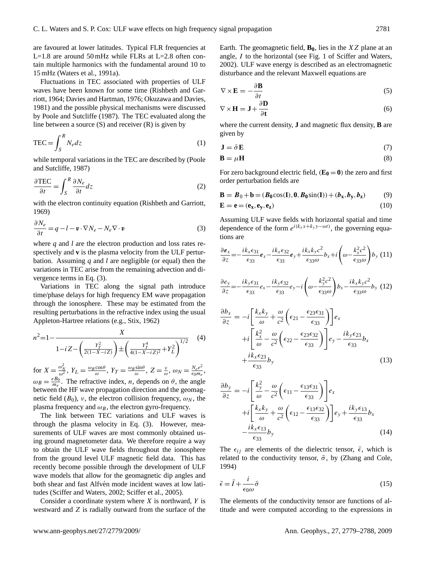are favoured at lower latitudes. Typical FLR frequencies at L=1.8 are around 50 mHz while FLRs at L=2.8 often contain multiple harmonics with the fundamental around 10 to 15 mHz [\(Waters et al.,](#page-9-1) [1991a\)](#page-9-1).

Fluctuations in TEC associated with properties of ULF waves have been known for some time [\(Rishbeth and Gar](#page-8-18)[riott,](#page-8-18) [1964;](#page-8-18) [Davies and Hartman,](#page-8-2) [1976;](#page-8-2) [Okuzawa and Davies,](#page-8-3) [1981\)](#page-8-3) and the possible physical mechanisms were discussed by [Poole and Sutcliffe](#page-8-19) [\(1987\)](#page-8-19). The TEC evaluated along the line between a source  $(S)$  and receiver  $(R)$  is given by

$$
TEC = \int_{S}^{R} N_{e} dz
$$
 (1)

while temporal variations in the TEC are described by [\(Poole](#page-8-19) [and Sutcliffe,](#page-8-19) [1987\)](#page-8-19)

$$
\frac{\partial \text{TEC}}{\partial t} = \int_{S}^{R} \frac{\partial N_e}{\partial t} dz
$$
 (2)

with the electron continuity equation [\(Rishbeth and Garriott,](#page-8-20) [1969\)](#page-8-20)

<span id="page-2-0"></span>
$$
\frac{\partial N_e}{\partial t} = q - l - \mathbf{v} \cdot \nabla N_e - N_e \nabla \cdot \mathbf{v}
$$
 (3)

where *q* and *l* are the electron production and loss rates respectively and **v** is the plasma velocity from the ULF perturbation. Assuming *q* and *l* are negligible (or equal) then the variations in TEC arise from the remaining advection and divergence terms in Eq. [\(3\)](#page-2-0).

Variations in TEC along the signal path introduce time/phase delays for high frequency EM wave propagation through the ionosphere. These may be estimated from the resulting perturbations in the refractive index using the usual Appleton-Hartree relations (e.g., [Stix,](#page-8-21) [1962\)](#page-8-21)

$$
n^{2} = 1 - \frac{X}{1 - iZ - \left(\frac{Y_{T}^{2}}{2(1 - X - iZ)}\right) \pm \left(\frac{Y_{T}^{4}}{4(1 - X - iZ)^{2}} + Y_{L}^{2}\right)^{1/2}}
$$
(4)

for  $X = \frac{\omega_N^2}{\omega^2}$ ,  $Y_L = \frac{\omega_B \cos \theta}{\omega}$ ,  $Y_T = \frac{\omega_B \sin \theta}{\omega}$ ,  $Z = \frac{v}{\omega}$ ,  $\omega_N = \frac{N_e e^2}{\epsilon_0 m_e}$  $\frac{N_e e^-}{\epsilon_0 m_e},$  $\omega_B = \frac{eB_0}{m_e}$ . The refractive index, *n*, depends on  $\theta$ , the angle between the HF wave propagation direction and the geomagnetic field  $(B_0)$ , *v*, the electron collision frequency,  $\omega_N$ , the plasma frequency and  $\omega_B$ , the electron gyro-frequency.

The link between TEC variations and ULF waves is through the plasma velocity in Eq. [\(3\)](#page-2-0). However, measurements of ULF waves are most commonly obtained using ground magnetometer data. We therefore require a way to obtain the ULF wave fields throughout the ionosphere from the ground level ULF magnetic field data. This has recently become possible through the development of ULF wave models that allow for the geomagnetic dip angles and both shear and fast Alfvén mode incident waves at low latitudes [\(Sciffer and Waters,](#page-8-22) [2002;](#page-8-22) [Sciffer et al.,](#page-8-23) [2005\)](#page-8-23).

Consider a coordinate system where  $X$  is northward,  $Y$  is westward and Z is radially outward from the surface of the Earth. The geomagnetic field,  $\mathbf{B}_0$ , lies in the XZ plane at an angle, I to the horizontal (see Fig. 1 of Sciffer and Waters, 2002). ULF wave energy is described as an electromagnetic disturbance and the relevant Maxwell equations are

$$
\nabla \times \mathbf{E} = -\frac{\partial \mathbf{B}}{\partial t}
$$
 (5)

$$
\nabla \times \mathbf{H} = \mathbf{J} + \frac{\partial \mathbf{D}}{\partial \mathbf{t}} \tag{6}
$$

where the current density, **J** and magnetic flux density, **B** are given by

$$
\mathbf{J} = \bar{\sigma} \mathbf{E} \tag{7}
$$

$$
\mathbf{B} = \mu \mathbf{H} \tag{8}
$$

For zero background electric field,  $(\mathbf{E}_0 = 0)$  the zero and first order perturbation fields are

$$
\mathbf{B} = \boldsymbol{B}_0 + \mathbf{b} = (\boldsymbol{B}_0 \cos(\mathbf{I}), \boldsymbol{0}, \boldsymbol{B}_0 \sin(\mathbf{I})) + (\boldsymbol{b}_\mathbf{x}, \boldsymbol{b}_\mathbf{y}, \boldsymbol{b}_\mathbf{z})
$$
(9)

$$
\mathbf{E} = \mathbf{e} = (\mathbf{e}_{\mathbf{x}}, \mathbf{e}_{\mathbf{y}}, \mathbf{e}_{\mathbf{z}}) \tag{10}
$$

Assuming ULF wave fields with horizontal spatial and time dependence of the form  $e^{i(k_x x + k_y y - \omega t)}$ , the governing equations are

<span id="page-2-1"></span>
$$
\frac{\partial \boldsymbol{e}_x}{\partial z} = -\frac{i k_x \epsilon_{31}}{\epsilon_{33}} \boldsymbol{e}_x - \frac{i k_x \epsilon_{32}}{\epsilon_{33}} \boldsymbol{e}_y + \frac{i k_x k_y c^2}{\epsilon_{33} \omega} b_x + i \left(\omega - \frac{k_x^2 c^2}{\epsilon_{33} \omega}\right) b_y \ (11)
$$

$$
\frac{\partial e_y}{\partial z} = -\frac{ik_y \epsilon_{31}}{\epsilon_{33}} e_x - \frac{ik_y \epsilon_{32}}{\epsilon_{33}} e_y - i \left( \omega - \frac{k_y^2 c^2}{\epsilon_{33} \omega} \right) b_x - \frac{ik_x k_y c^2}{\epsilon_{33} \omega} b_y \tag{12}
$$

$$
\frac{\partial b_x}{\partial z} = -i \left[ \frac{k_x k_y}{\omega} + \frac{\omega}{c^2} \left( \epsilon_{21} - \frac{\epsilon_{23} \epsilon_{31}}{\epsilon_{33}} \right) \right] e_x
$$
  
+ 
$$
+i \left[ \frac{k_x^2}{\omega} - \frac{\omega}{c^2} \left( \epsilon_{22} - \frac{\epsilon_{23} \epsilon_{32}}{\epsilon_{33}} \right) \right] e_y - \frac{ik_y \epsilon_{23}}{\epsilon_{33}} b_x
$$
  
+ 
$$
\frac{ik_x \epsilon_{23}}{\epsilon_{33}} b_y
$$
(13)

<span id="page-2-2"></span>
$$
\frac{\partial b_y}{\partial z} = -i \left[ \frac{k_y^2}{\omega} - \frac{\omega}{c^2} \left( \epsilon_{11} - \frac{\epsilon_{13} \epsilon_{31}}{\epsilon_{33}} \right) \right] e_x
$$
  
+ 
$$
+i \left[ \frac{k_x k_y}{\omega} + \frac{\omega}{c^2} \left( \epsilon_{12} - \frac{\epsilon_{13} \epsilon_{32}}{\epsilon_{33}} \right) \right] e_y + \frac{i k_y \epsilon_{13}}{\epsilon_{33}} b_x
$$

$$
- \frac{i k_x \epsilon_{13}}{\epsilon_{33}} b_y
$$
(14)

The  $\epsilon_{ij}$  are elements of the dielectric tensor,  $\bar{\epsilon}$ , which is related to the conductivity tensor,  $\bar{\sigma}$ , by [\(Zhang and Cole,](#page-9-2) [1994\)](#page-9-2)

$$
\bar{\epsilon} = \bar{I} + \frac{i}{\epsilon_0 \omega} \bar{\sigma} \tag{15}
$$

The elements of the conductivity tensor are functions of altitude and were computed according to the expressions in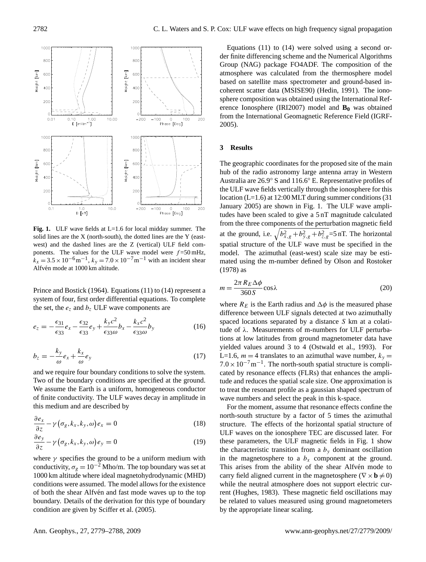

<span id="page-3-0"></span>**Fig. 1.** ULF wave fields at L=1.6 for local midday summer. The solid lines are the X (north-south), the dotted lines are the Y (eastwest) and the dashed lines are the Z (vertical) ULF field components. The values for the ULF wave model were  $f = 50$  mHz,  $k_x = 3.5 \times 10^{-6} \text{m}^{-1}$ ,  $k_y = 7.0 \times 10^{-7} \text{m}^{-1}$  with an incident shear Alfvén mode at 1000 km altitude.

[Prince and Bostick](#page-8-24) [\(1964\)](#page-8-24). Equations [\(11\)](#page-2-1) to [\(14\)](#page-2-2) represent a system of four, first order differential equations. To complete the set, the  $e_z$  and  $b_z$  ULF wave components are

$$
e_z = -\frac{\epsilon_{31}}{\epsilon_{33}}e_x - \frac{\epsilon_{32}}{\epsilon_{33}}e_y + \frac{k_y c^2}{\epsilon_{33}\omega}b_x - \frac{k_x c^2}{\epsilon_{33}\omega}b_y \tag{16}
$$

$$
b_z = -\frac{k_y}{\omega} e_x + \frac{k_x}{\omega} e_y \tag{17}
$$

and we require four boundary conditions to solve the system. Two of the boundary conditions are specified at the ground. We assume the Earth is a uniform, homogeneous conductor of finite conductivity. The ULF waves decay in amplitude in this medium and are described by

$$
\frac{\partial e_x}{\partial z} - \gamma \left( \sigma_g, k_x, k_y, \omega \right) e_x = 0 \tag{18}
$$

$$
\frac{\partial e_y}{\partial z} - \gamma \left( \sigma_g, k_x, k_y, \omega \right) e_y = 0 \tag{19}
$$

where  $\gamma$  specifies the ground to be a uniform medium with conductivity,  $\sigma_{\rm g} = 10^{-2}$  Mho/m. The top boundary was set at 1000 km altitude where ideal magnetohydrodynamic (MHD) conditions were assumed. The model allows for the existence of both the shear Alfvén and fast mode waves up to the top boundary. Details of the derivation for this type of boundary condition are given by [Sciffer et al.](#page-8-23) [\(2005\)](#page-8-23).

Equations [\(11\)](#page-2-1) to [\(14\)](#page-2-2) were solved using a second order finite differencing scheme and the Numerical Algorithms Group (NAG) package FO4ADF. The composition of the atmosphere was calculated from the thermosphere model based on satellite mass spectrometer and ground-based incoherent scatter data (MSISE90) [\(Hedin,](#page-8-25) [1991\)](#page-8-25). The ionosphere composition was obtained using the International Reference Ionosphere (IRI2007) model and **B<sup>0</sup>** was obtained from the International Geomagnetic Reference Field (IGRF-2005).

#### **3 Results**

The geographic coordinates for the proposed site of the main hub of the radio astronomy large antenna array in Western Australia are 26.9◦ S and 116.6◦ E. Representative profiles of the ULF wave fields vertically through the ionosphere for this location (L=1.6) at 12:00 MLT during summer conditions (31 January 2005) are shown in Fig. [1.](#page-3-0) The ULF wave amplitudes have been scaled to give a 5 nT magnitude calculated from the three components of the perturbation magnetic field at the ground, i.e.  $\sqrt{b_{x,g}^2 + b_{y,g}^2 + b_{z,g}^2} = 5$  nT. The horizontal spatial structure of the ULF wave must be specified in the model. The azimuthal (east-west) scale size may be estimated using the m-number defined by [Olson and Rostoker](#page-8-26) [\(1978\)](#page-8-26) as

<span id="page-3-1"></span>
$$
m = \frac{2\pi R_E \Delta \phi}{360 \, S} \cos \lambda \tag{20}
$$

where  $R_E$  is the Earth radius and  $\Delta \phi$  is the measured phase difference between ULF signals detected at two azimuthally spaced locations separated by a distance S km at a colatitude of  $λ$ . Measurements of m-numbers for ULF perturbations at low latitudes from ground magnetometer data have yielded values around 3 to 4 [\(Ostwald et al.,](#page-8-27) [1993\)](#page-8-27). For L=1.6,  $m = 4$  translates to an azimuthal wave number,  $k_y =$  $7.0 \times 10^{-7}$  m<sup>-1</sup>. The north-south spatial structure is complicated by resonance effects (FLRs) that enhances the amplitude and reduces the spatial scale size. One approximation is to treat the resonant profile as a gaussian shaped spectrum of wave numbers and select the peak in this k-space.

For the moment, assume that resonance effects confine the north-south structure by a factor of 5 times the azimuthal structure. The effects of the horizontal spatial structure of ULF waves on the ionosphere TEC are discussed later. For these parameters, the ULF magnetic fields in Fig. [1](#page-3-0) show the characteristic transition from a  $b<sub>y</sub>$  dominant oscillation in the magnetosphere to a  $b_x$  component at the ground. This arises from the ability of the shear Alfvén mode to carry field aligned current in the magnetosphere ( $\nabla \times \mathbf{b} \neq 0$ ) while the neutral atmosphere does not support electric current [\(Hughes,](#page-8-28) [1983\)](#page-8-28). These magnetic field oscillations may be related to values measured using ground magnetometers by the appropriate linear scaling.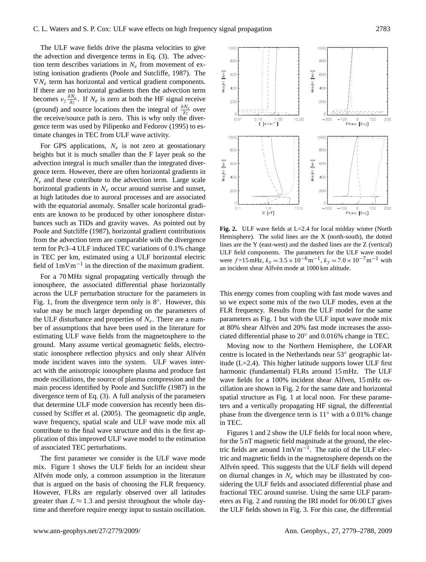The ULF wave fields drive the plasma velocities to give the advection and divergence terms in Eq. [\(3\)](#page-2-0). The advection term describes variations in  $N_e$  from movement of existing ionisation gradients [\(Poole and Sutcliffe,](#page-8-19) [1987\)](#page-8-19). The  $\nabla N_e$  term has horizontal and vertical gradient components. If there are no horizontal gradients then the advection term becomes  $v_z \frac{\partial N_e}{\partial z}$ . If  $N_e$  is zero at both the HF signal receive (ground) and source locations then the integral of  $\frac{\partial N_e}{\partial z}$  over the receive/source path is zero. This is why only the divergence term was used by [Pilipenko and Fedorov](#page-8-29) [\(1995\)](#page-8-29) to estimate changes in TEC from ULF wave activity.

For GPS applications,  $N_e$  is not zero at geostationary heights but it is much smaller than the F layer peak so the advection integral is much smaller than the integrated divergence term. However, there are often horizontal gradients in  $N_e$  and these contribute to the advection term. Large scale horizontal gradients in  $N_e$  occur around sunrise and sunset, at high latitudes due to auroral processes and are associated with the equatorial anomaly. Smaller scale horizontal gradients are known to be produced by other ionosphere disturbances such as TIDs and gravity waves. As pointed out by [Poole and Sutcliffe](#page-8-19) [\(1987\)](#page-8-19), horizontal gradient contributions from the advection term are comparable with the divergence term for Pc3–4 ULF induced TEC variations of 0.1% change in TEC per km, estimated using a ULF horizontal electric field of 1mVm−<sup>1</sup> in the direction of the maximum gradient.

For a 70 MHz signal propagating vertically through the ionosphere, the associated differential phase horizontally across the ULF perturbation structure for the parameters in Fig. [1,](#page-3-0) from the divergence term only is 8◦ . However, this value may be much larger depending on the parameters of the ULF disturbance and properties of  $N_e$ . There are a number of assumptions that have been used in the literature for estimating ULF wave fields from the magnetosphere to the ground. Many assume vertical geomagnetic fields, electrostatic ionosphere reflection physics and only shear Alfven mode incident waves into the system. ULF waves interact with the anisotropic ionosphere plasma and produce fast mode oscillations, the source of plasma compression and the main process identified by [Poole and Sutcliffe](#page-8-19) [\(1987\)](#page-8-19) in the divergence term of Eq. [\(3\)](#page-2-0). A full analysis of the parameters that determine ULF mode conversion has recently been discussed by [Sciffer et al.](#page-8-23) [\(2005\)](#page-8-23). The geomagnetic dip angle, wave frequency, spatial scale and ULF wave mode mix all contribute to the final wave structure and this is the first application of this improved ULF wave model to the estimation of associated TEC perturbations.

The first parameter we consider is the ULF wave mode mix. Figure [1](#page-3-0) shows the ULF fields for an incident shear Alfvén mode only, a common assumption in the literature that is argued on the basis of choosing the FLR frequency. However, FLRs are regularly observed over all latitudes greater than  $L \approx 1.3$  and persist throughout the whole daytime and therefore require energy input to sustain oscillation.



<span id="page-4-0"></span>**Fig. 2.** ULF wave fields at L=2.4 for local midday winter (North Hemisphere). The solid lines are the X (north-south), the dotted lines are the Y (east-west) and the dashed lines are the Z (vertical) ULF field components. The parameters for the ULF wave model were  $f = 15 \text{ mHz}, k_x = 3.5 \times 10^{-6} \text{m}^{-1}, k_y = 7.0 \times 10^{-7} \text{m}^{-1}$  with an incident shear Alfvén mode at 1000 km altitude.

This energy comes from coupling with fast mode waves and so we expect some mix of the two ULF modes, even at the FLR frequency. Results from the ULF model for the same parameters as Fig. [1](#page-3-0) but with the ULF input wave mode mix at 80% shear Alfvén and 20% fast mode increases the associated differential phase to 20◦ and 0.016% change in TEC.

Moving now to the Northern Hemisphere, the LOFAR centre is located in the Netherlands near 53◦ geographic latitude ( $L=2.4$ ). This higher latitude supports lower ULF first harmonic (fundamental) FLRs around 15 mHz. The ULF wave fields for a 100% incident shear Alfven, 15 mHz oscillation are shown in Fig. [2](#page-4-0) for the same date and horizontal spatial structure as Fig. [1](#page-3-0) at local noon. For these parameters and a vertically propagating HF signal, the differential phase from the divergence term is 11◦ with a 0.01% change in TEC.

Figures [1](#page-3-0) and [2](#page-4-0) show the ULF fields for local noon where, for the 5 nT magnetic field magnitude at the ground, the electric fields are around 1mVm−<sup>1</sup> . The ratio of the ULF electric and magnetic fields in the magnetosphere depends on the Alfvén speed. This suggests that the ULF fields will depend on diurnal changes in  $N_e$  which may be illustrated by considering the ULF fields and associated differential phase and fractional TEC around sunrise. Using the same ULF parameters as Fig. [2](#page-4-0) and running the IRI model for 06:00 LT gives the ULF fields shown in Fig. [3.](#page-5-0) For this case, the differential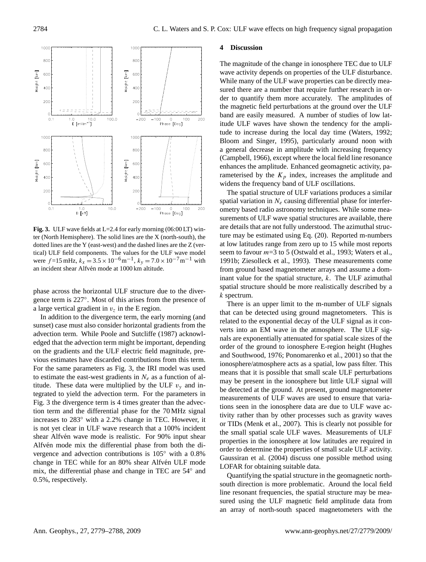

<span id="page-5-0"></span>**Fig. 3.** ULF wave fields at L=2.4 for early morning (06:00 LT) winter (North Hemisphere). The solid lines are the X (north-south), the dotted lines are the Y (east-west) and the dashed lines are the Z (vertical) ULF field components. The values for the ULF wave model were  $f = 15 \text{ mHz}$ ,  $k_x = 3.5 \times 10^{-6} \text{ m}^{-1}$ ,  $k_y = 7.0 \times 10^{-7} \text{ m}^{-1}$  with an incident shear Alfvén mode at 1000 km altitude.

phase across the horizontal ULF structure due to the divergence term is 227◦ . Most of this arises from the presence of a large vertical gradient in  $v<sub>z</sub>$  in the E region.

In addition to the divergence term, the early morning (and sunset) case must also consider horizontal gradients from the advection term. While [Poole and Sutcliffe](#page-8-19) [\(1987\)](#page-8-19) acknowledged that the advection term might be important, depending on the gradients and the ULF electric field magnitude, previous estimates have discarded contributions from this term. For the same parameters as Fig. [3,](#page-5-0) the IRI model was used to estimate the east-west gradients in  $N_e$  as a function of altitude. These data were multiplied by the ULF  $v_y$  and integrated to yield the advection term. For the parameters in Fig. [3](#page-5-0) the divergence term is 4 times greater than the advection term and the differential phase for the 70 MHz signal increases to 283◦ with a 2.2% change in TEC. However, it is not yet clear in ULF wave research that a 100% incident shear Alfvén wave mode is realistic. For 90% input shear Alfvén mode mix the differential phase from both the divergence and advection contributions is 105◦ with a 0.8% change in TEC while for an 80% shear Alfvén ULF mode mix, the differential phase and change in TEC are 54◦ and 0.5%, respectively.

## **4 Discussion**

The magnitude of the change in ionosphere TEC due to ULF wave activity depends on properties of the ULF disturbance. While many of the ULF wave properties can be directly measured there are a number that require further research in order to quantify them more accurately. The amplitudes of the magnetic field perturbations at the ground over the ULF band are easily measured. A number of studies of low latitude ULF waves have shown the tendency for the amplitude to increase during the local day time [\(Waters,](#page-9-3) [1992;](#page-9-3) [Bloom and Singer,](#page-8-30) [1995\)](#page-8-30), particularly around noon with a general decrease in amplitude with increasing frequency [\(Campbell,](#page-8-31) [1966\)](#page-8-31), except where the local field line resonance enhances the amplitude. Enhanced geomagnetic activity, parameterised by the  $K_p$  index, increases the amplitude and widens the frequency band of ULF oscillations.

The spatial structure of ULF variations produces a similar spatial variation in  $N_e$  causing differential phase for interferometry based radio astronomy techniques. While some measurements of ULF wave spatial structures are available, there are details that are not fully understood. The azimuthal structure may be estimated using Eq. [\(20\)](#page-3-1). Reported m-numbers at low latitudes range from zero up to 15 while most reports seem to favour  $m=3$  to 5 [\(Ostwald et al.,](#page-8-27) [1993;](#page-8-27) [Waters et al.,](#page-9-4) [1991b;](#page-9-4) [Ziesolleck et al.,](#page-9-5) [1993\)](#page-9-5). These measurements come from ground based magnetometer arrays and assume a dominant value for the spatial structure,  $k$ . The ULF azimuthal spatial structure should be more realistically described by a k spectrum.

There is an upper limit to the m-number of ULF signals that can be detected using ground magnetometers. This is related to the exponential decay of the ULF signal as it converts into an EM wave in the atmosphere. The ULF signals are exponentially attenuated for spatial scale sizes of the order of the ground to ionosphere E-region height [\(Hughes](#page-8-32) [and Southwood,](#page-8-32) [1976;](#page-8-32) [Ponomarenko et al.,](#page-8-33) [2001\)](#page-8-33) so that the ionosphere/atmosphere acts as a spatial, low pass filter. This means that it is possible that small scale ULF perturbations may be present in the ionosphere but little ULF signal will be detected at the ground. At present, ground magnetometer measurements of ULF waves are used to ensure that variations seen in the ionosphere data are due to ULF wave activity rather than by other processes such as gravity waves or TIDs [\(Menk et al.,](#page-8-34) [2007\)](#page-8-34). This is clearly not possible for the small spatial scale ULF waves. Measurements of ULF properties in the ionosphere at low latitudes are required in order to determine the properties of small scale ULF activity. [Gaussiran et al.](#page-8-8) [\(2004\)](#page-8-8) discuss one possible method using LOFAR for obtaining suitable data.

Quantifying the spatial structure in the geomagnetic northsouth direction is more problematic. Around the local field line resonant frequencies, the spatial structure may be measured using the ULF magnetic field amplitude data from an array of north-south spaced magnetometers with the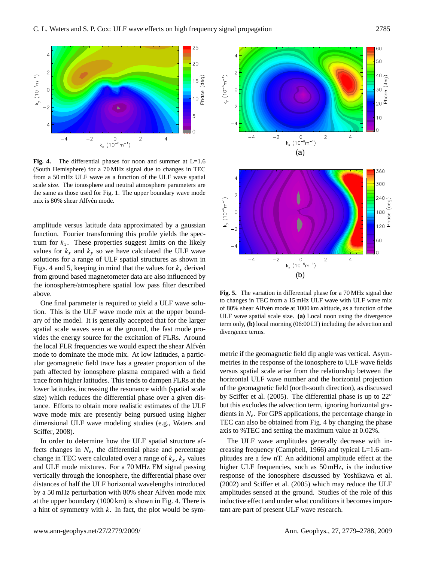

<span id="page-6-0"></span>**Fig. 4.** The differential phases for noon and summer at L=1.6 (South Hemisphere) for a 70 MHz signal due to changes in TEC from a 50 mHz ULF wave as a function of the ULF wave spatial scale size. The ionosphere and neutral atmosphere parameters are the same as those used for Fig. [1.](#page-3-0) The upper boundary wave mode mix is 80% shear Alfvén mode.

amplitude versus latitude data approximated by a gaussian function. Fourier transforming this profile yields the spectrum for  $k_x$ . These properties suggest limits on the likely values for  $k_x$  and  $k_y$  so we have calculated the ULF wave solutions for a range of ULF spatial structures as shown in Figs. [4](#page-6-0) and [5,](#page-6-1) keeping in mind that the values for  $k_x$  derived from ground based magnetometer data are also influenced by the ionosphere/atmosphere spatial low pass filter described above.

One final parameter is required to yield a ULF wave solution. This is the ULF wave mode mix at the upper boundary of the model. It is generally accepted that for the larger spatial scale waves seen at the ground, the fast mode provides the energy source for the excitation of FLRs. Around the local FLR frequencies we would expect the shear Alfven mode to dominate the mode mix. At low latitudes, a particular geomagnetic field trace has a greater proportion of the path affected by ionosphere plasma compared with a field trace from higher latitudes. This tends to dampen FLRs at the lower latitudes, increasing the resonance width (spatial scale size) which reduces the differential phase over a given distance. Efforts to obtain more realistic estimates of the ULF wave mode mix are presently being pursued using higher dimensional ULF wave modeling studies (e.g., [Waters and](#page-9-6) [Sciffer,](#page-9-6) [2008\)](#page-9-6).

In order to determine how the ULF spatial structure affects changes in  $N_e$ , the differential phase and percentage change in TEC were calculated over a range of  $k_x$ ,  $k_y$  values and ULF mode mixtures. For a 70 MHz EM signal passing vertically through the ionosphere, the differential phase over distances of half the ULF horizontal wavelengths introduced by a 50 mHz perturbation with 80% shear Alfvén mode mix at the upper boundary (1000 km) is shown in Fig. [4.](#page-6-0) There is a hint of symmetry with  $k$ . In fact, the plot would be sym-



<span id="page-6-1"></span>**Fig. 5.** The variation in differential phase for a 70 MHz signal due to changes in TEC from a 15 mHz ULF wave with ULF wave mix of 80% shear Alfvén mode at 1000 km altitude, as a function of the ULF wave spatial scale size. **(a)** Local noon using the divergence term only, **(b)** local morning (06:00 LT) including the advection and divergence terms.

metric if the geomagnetic field dip angle was vertical. Asymmetries in the response of the ionosphere to ULF wave fields versus spatial scale arise from the relationship between the horizontal ULF wave number and the horizontal projection of the geomagnetic field (north-south direction), as discussed by [Sciffer et al.](#page-8-23) [\(2005\)](#page-8-23). The differential phase is up to 22◦ but this excludes the advection term, ignoring horizontal gradients in  $N_e$ . For GPS applications, the percentage change in TEC can also be obtained from Fig. [4](#page-6-0) by changing the phase axis to %TEC and setting the maximum value at 0.02%.

The ULF wave amplitudes generally decrease with increasing frequency [\(Campbell,](#page-8-31) [1966\)](#page-8-31) and typical L=1.6 amplitudes are a few nT. An additional amplitude effect at the higher ULF frequencies, such as 50 mHz, is the inductive response of the ionosphere discussed by [Yoshikawa et al.](#page-9-7) [\(2002\)](#page-9-7) and [Sciffer et al.](#page-8-23) [\(2005\)](#page-8-23) which may reduce the ULF amplitudes sensed at the ground. Studies of the role of this inductive effect and under what conditions it becomes important are part of present ULF wave research.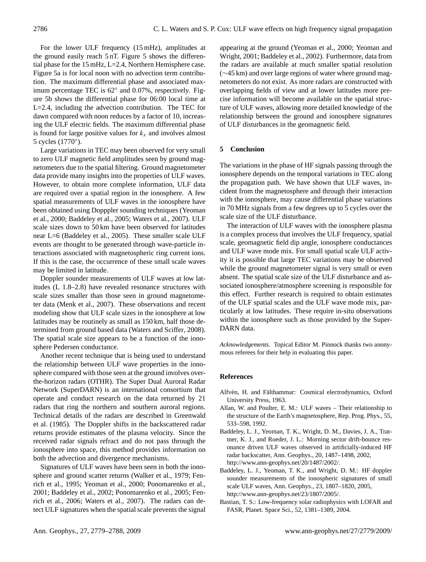For the lower ULF frequency (15 mHz), amplitudes at the ground easily reach 5 nT. Figure [5](#page-6-1) shows the differential phase for the 15 mHz, L=2.4, Northern Hemisphere case. Figure 5a is for local noon with no advection term contribution. The maximum differential phase and associated maximum percentage TEC is 62° and 0.07%, respectively. Figure 5b shows the differential phase for 06:00 local time at L=2.4, including the advection contribution. The TEC for dawn compared with noon reduces by a factor of 10, increasing the ULF electric fields. The maximum differential phase is found for large positive values for  $k_x$  and involves almost 5 cycles (1770◦ ).

Large variations in TEC may been observed for very small to zero ULF magnetic field amplitudes seen by ground magnetometers due to the spatial filtering. Ground magnetometer data provide many insights into the properties of ULF waves. However, to obtain more complete information, ULF data are required over a spatial region in the ionosphere. A few spatial measurements of ULF waves in the ionosphere have been obtained using Dopppler sounding techniques [\(Yeoman](#page-9-8) [et al.,](#page-9-8) [2000;](#page-9-8) [Baddeley et al.,](#page-7-3) [2005;](#page-7-3) [Waters et al.,](#page-9-9) [2007\)](#page-9-9). ULF scale sizes down to 50 km have been observed for latitudes near L=6 [\(Baddeley et al.,](#page-7-3) [2005\)](#page-7-3). These smaller scale ULF events are thought to be generated through wave-particle interactions associated with magnetospheric ring current ions. If this is the case, the occurrence of these small scale waves may be limited in latitude.

Doppler sounder measurements of ULF waves at low latitudes (L 1.8–2.8) have revealed resonance structures with scale sizes smaller than those seen in ground magnetometer data [\(Menk et al.,](#page-8-34) [2007\)](#page-8-34). These observations and recent modeling show that ULF scale sizes in the ionosphere at low latitudes may be routinely as small as 150 km, half those determined from ground based data [\(Waters and Sciffer,](#page-9-6) [2008\)](#page-9-6). The spatial scale size appears to be a function of the ionosphere Pedersen conductance.

Another recent technique that is being used to understand the relationship between ULF wave properties in the ionosphere compared with those seen at the ground involves overthe-horizon radars (OTHR). The Super Dual Auroral Radar Network (SuperDARN) is an international consortium that operate and conduct research on the data returned by 21 radars that ring the northern and southern auroral regions. Technical details of the radars are described in [Greenwald](#page-8-35) [et al.](#page-8-35) [\(1985\)](#page-8-35). The Doppler shifts in the backscattered radar returns provide estimates of the plasma velocity. Since the received radar signals refract and do not pass through the ionosphere into space, this method provides information on both the advection and divergence mechanisms.

Signatures of ULF waves have been seen in both the ionosphere and ground scatter returns [\(Walker et al.,](#page-8-36) [1979;](#page-8-36) [Fen](#page-8-37)[rich et al.,](#page-8-37) [1995;](#page-8-37) [Yeoman et al.,](#page-9-8) [2000;](#page-9-8) [Ponomarenko et al.,](#page-8-33) [2001;](#page-8-33) [Baddeley et al.,](#page-7-4) [2002;](#page-7-4) [Ponomarenko et al.,](#page-8-38) [2005;](#page-8-38) [Fen](#page-8-39)[rich et al.,](#page-8-39) [2006;](#page-8-39) [Waters et al.,](#page-9-9) [2007\)](#page-9-9). The radars can detect ULF signatures when the spatial scale prevents the signal

appearing at the ground [\(Yeoman et al.,](#page-9-8) [2000;](#page-9-8) [Yeoman and](#page-9-10) [Wright,](#page-9-10) [2001;](#page-9-10) [Baddeley et al.,](#page-7-4) [2002\)](#page-7-4). Furthermore, data from the radars are available at much smaller spatial resolution (∼45 km) and over large regions of water where ground magnetometers do not exist. As more radars are constructed with overlapping fields of view and at lower latitudes more precise information will become available on the spatial structure of ULF waves, allowing more detailed knowledge of the relationship between the ground and ionosphere signatures of ULF disturbances in the geomagnetic field.

# **5 Conclusion**

The variations in the phase of HF signals passing through the ionosphere depends on the temporal variations in TEC along the propagation path. We have shown that ULF waves, incident from the magnetosphere and through their interaction with the ionosphere, may cause differential phase variations in 70 MHz signals from a few degrees up to 5 cycles over the scale size of the ULF disturbance.

The interaction of ULF waves with the ionosphere plasma is a complex process that involves the ULF frequency, spatial scale, geomagnetic field dip angle, ionosphere conductances and ULF wave mode mix. For small spatial scale ULF activity it is possible that large TEC variations may be observed while the ground magnetometer signal is very small or even absent. The spatial scale size of the ULF disturbance and associated ionosphere/atmosphere screening is responsible for this effect. Further research is required to obtain estimates of the ULF spatial scales and the ULF wave mode mix, particularly at low latitudes. These require in-situ observations within the ionosphere such as those provided by the Super-DARN data.

*Acknowledgements.* Topical Editor M. Pinnock thanks two anonymous referees for their help in evaluating this paper.

## **References**

- <span id="page-7-1"></span>Alfvén, H. and Fälthammar: Cosmical electrodynamics, Oxford University Press, 1963.
- <span id="page-7-2"></span>Allan, W. and Poulter, E. M.: ULF waves – Their relationship to the structure of the Earth's magnetosphere, Rep. Prog. Phys., 55, 533–598, 1992.
- <span id="page-7-4"></span>Baddeley, L. J., Yeoman, T. K., Wright, D. M., Davies, J. A., Trattner, K. J., and Roeder, J. L.: Morning sector drift-bounce resonance driven ULF waves observed in artificially-induced HF radar backscatter, Ann. Geophys., 20, 1487–1498, 2002, [http://www.ann-geophys.net/20/1487/2002/.](http://www.ann-geophys.net/20/1487/2002/)
- <span id="page-7-3"></span>Baddeley, L. J., Yeoman, T. K., and Wright, D. M.: HF doppler sounder measurements of the ionospheric signatures of small scale ULF waves, Ann. Geophys., 23, 1807–1820, 2005, [http://www.ann-geophys.net/23/1807/2005/.](http://www.ann-geophys.net/23/1807/2005/)
- <span id="page-7-0"></span>Bastian, T. S.: Low-frequency solar radiophysics with LOFAR and FASR, Planet. Space Sci., 52, 1381–1389, 2004.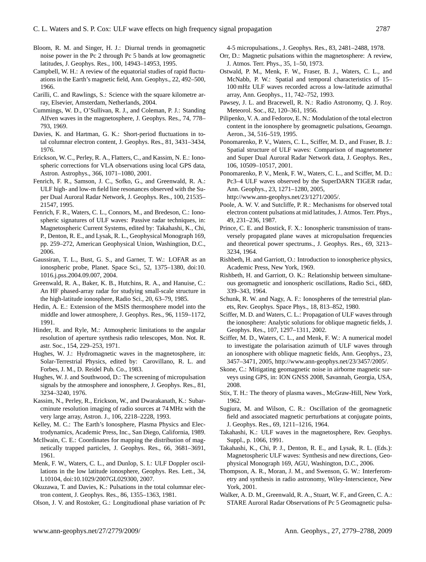- <span id="page-8-30"></span>Bloom, R. M. and Singer, H. J.: Diurnal trends in geomagnetic noise power in the Pc 2 through Pc 5 bands at low geomagnetic latitudes, J. Geophys. Res., 100, 14943–14953, 1995.
- <span id="page-8-31"></span>Campbell, W. H.: A review of the equatorial studies of rapid fluctuations in the Earth's magnetic field, Ann. Geophys., 22, 492–500, 1966.
- <span id="page-8-5"></span>Carilli, C. and Rawlings, S.: Science with the square kilometre array, Elsevier, Amsterdam, Netherlands, 2004.
- <span id="page-8-17"></span>Cummings, W. D., O'Sullivan, R. J., and Coleman, P. J.: Standing Alfven waves in the magnetosphere, J. Geophys. Res., 74, 778– 793, 1969.
- <span id="page-8-2"></span>Davies, K. and Hartman, G. K.: Short-period fluctuations in total columnar electron content, J. Geophys. Res., 81, 3431–3434, 1976.
- <span id="page-8-10"></span>Erickson, W. C., Perley, R. A., Flatters, C., and Kassim, N. E.: Ionospheric corrections for VLA observations using local GPS data, Astron. Astrophys., 366, 1071–1080, 2001.
- <span id="page-8-37"></span>Fenrich, F. R., Samson, J. C., Sofko, G., and Greenwald, R. A.: ULF high- and low-m field line resonances observed with the Super Dual Auroral Radar Network, J. Geophys. Res., 100, 21535– 21547, 1995.
- <span id="page-8-39"></span>Fenrich, F. R., Waters, C. L., Connors, M., and Bredeson, C.: Ionospheric signatures of ULF waves: Passive radar techniques, in: Magnetospheric Current Systems, edited by: Takahashi, K., Chi, P., Denton, R. E., and Lysak, R. L., Geophysical Monograph 169, pp. 259–272, American Geophysical Union, Washingtion, D.C., 2006.
- <span id="page-8-8"></span>Gaussiran, T. L., Bust, G. S., and Garner, T. W.: LOFAR as an ionospheric probe, Planet. Space Sci., 52, 1375–1380, doi:10. 1016.j.pss.2004.09.007, 2004.
- <span id="page-8-35"></span>Greenwald, R. A., Baker, K. B., Hutchins, R. A., and Hanuise, C.: An HF phased-array radar for studying small-scale structure in the high-latitude ionosphere, Radio Sci., 20, 63–79, 1985.
- <span id="page-8-25"></span>Hedin, A. E.: Extension of the MSIS thermosphere model into the middle and lower atmosphere, J. Geophys. Res., 96, 1159–1172, 1991.
- <span id="page-8-11"></span>Hinder, R. and Ryle, M.: Atmospheric limitations to the angular resolution of aperture synthesis radio telescopes, Mon. Not. R. astr. Soc., 154, 229–253, 1971.
- <span id="page-8-28"></span>Hughes, W. J.: Hydromagnetic waves in the magnetosphere, in: Solar-Terrestrial Physics, edited by: Carovillano, R. L. and Forbes, J. M., D. Reidel Pub. Co., 1983.
- <span id="page-8-32"></span>Hughes, W. J. and Southwood, D.: The screening of micropulsation signals by the atmosphere and ionosphere, J. Geophys. Res., 81, 3234–3240, 1976.
- <span id="page-8-7"></span>Kassim, N., Perley, R., Erickson, W., and Dwarakanath, K.: Subarcminute resolution imaging of radio sources at 74 MHz with the very large array, Astron. J., 106, 2218–2228, 1993.
- <span id="page-8-0"></span>Kelley, M. C.: The Earth's Ionosphere, Plasma Physics and Electrodynamics, Academic Press, Inc., San Diego, California, 1989.
- <span id="page-8-15"></span>McIlwain, C. E.: Coordinates for mapping the distribution of magnetically trapped particles, J. Geophys. Res., 66, 3681–3691, 1961.
- <span id="page-8-34"></span>Menk, F. W., Waters, C. L., and Dunlop, S. I.: ULF Doppler oscillations in the low latitude ionosphere, Geophys. Res. Lett., 34, L10104, doi:10.1029/2007GL029300, 2007.
- <span id="page-8-3"></span>Okuzawa, T. and Davies, K.: Pulsations in the total columnar electron content, J. Geophys. Res., 86, 1355–1363, 1981.
- <span id="page-8-26"></span>Olson, J. V. and Rostoker, G.: Longitudional phase variation of Pc

4-5 micropulsations., J. Geophys. Res., 83, 2481–2488, 1978.

- <span id="page-8-12"></span>Orr, D.: Magnetic pulsations within the magnetosphere: A review, J. Atmos. Terr. Phys., 35, 1–50, 1973.
- <span id="page-8-27"></span>Ostwald, P. M., Menk, F. W., Fraser, B. J., Waters, C. L., and McNabb, P. W.: Spatial and temporal characteristics of 15– 100 mHz ULF waves recorded across a low-latitude azimuthal array, Ann. Geophys., 11, 742–752, 1993.
- <span id="page-8-6"></span>Pawsey, J. L. and Bracewell, R. N.: Radio Astronomy, Q. J. Roy. Meteorol. Soc., 82, 120–361, 1956.
- <span id="page-8-29"></span>Pilipenko, V. A. and Fedorov, E. N.: Modulation of the total electron content in the ionosphere by geomagnetic pulsations, Geoamgn. Aeron., 34, 516–519, 1995.
- <span id="page-8-33"></span>Ponomarenko, P. V., Waters, C. L., Sciffer, M. D., and Fraser, B. J.: Spatial structure of ULF waves: Comparison of magnetometer and Super Dual Auroral Radar Network data, J. Geophys. Res., 106, 10509–10517, 2001.
- <span id="page-8-38"></span>Ponomarenko, P. V., Menk, F. W., Waters, C. L., and Sciffer, M. D.: Pc3–4 ULF waves observed by the SuperDARN TIGER radar, Ann. Geophys., 23, 1271–1280, 2005,
	- [http://www.ann-geophys.net/23/1271/2005/.](http://www.ann-geophys.net/23/1271/2005/)
- <span id="page-8-19"></span>Poole, A. W. V. and Sutcliffe, P. R.: Mechanisms for observed total electron content pulsations at mid latitudes, J. Atmos. Terr. Phys., 49, 231–236, 1987.
- <span id="page-8-24"></span>Prince, C. E. and Bostick, F. X.: Ionospheric transmission of transversely propagated plane waves at micropulsation frequencies and theoretical power spectrums., J. Geophys. Res., 69, 3213– 3234, 1964.
- <span id="page-8-20"></span>Rishbeth, H. and Garriott, O.: Introduction to ionospherice physics, Academic Press, New York, 1969.
- <span id="page-8-18"></span>Rishbeth, H. and Garriott, O. K.: Relationship between simultaneous geomagnetic and ionospheric oscillations, Radio Sci., 68D, 339–343, 1964.
- <span id="page-8-1"></span>Schunk, R. W. and Nagy, A. F.: Ionospheres of the terrestrial planets, Rev. Geophys. Space Phys., 18, 813–852, 1980.
- <span id="page-8-22"></span>Sciffer, M. D. and Waters, C. L.: Propagation of ULF waves through the ionosphere: Analytic solutions for oblique magnetic fields, J. Geophys. Res., 107, 1297–1311, 2002.
- <span id="page-8-23"></span>Sciffer, M. D., Waters, C. L., and Menk, F. W.: A numerical model to investigate the polarisation azimuth of ULF waves through an ionosphere with oblique magnetic fields, Ann. Geophys., 23, 3457–3471, 2005, [http://www.ann-geophys.net/23/3457/2005/.](http://www.ann-geophys.net/23/3457/2005/)
- <span id="page-8-4"></span>Skone, C.: Mitigating geomagnetic noise in airborne magnetic surveys using GPS, in: ION GNSS 2008, Savannah, Georgia, USA, 2008.
- <span id="page-8-21"></span>Stix, T. H.: The theory of plasma waves., McGraw-Hill, New York, 1962.
- <span id="page-8-16"></span>Sugiura, M. and Wilson, C. R.: Oscillation of the geomagnetic field and associated magnetic perturbations at conjugate points, J. Geophys. Res., 69, 1211–1216, 1964.
- <span id="page-8-13"></span>Takahashi, K.: ULF waves in the magnetosphere, Rev. Geophys. Suppl., p. 1066, 1991.
- <span id="page-8-14"></span>Takahashi, K., Chi, P. J., Denton, R. E., and Lysak, R. L. (Eds.): Magnetospheric ULF waves: Synthesis and new directions, Geophysical Monograph 169, AGU, Washington, D.C., 2006.
- <span id="page-8-9"></span>Thompson, A. R., Moran, J. M., and Swenson, G. W.: Interferometry and synthesis in radio astronomy, Wiley-Interscience, New York, 2001.
- <span id="page-8-36"></span>Walker, A. D. M., Greenwald, R. A., Stuart, W. F., and Green, C. A.: STARE Auroral Radar Observations of Pc 5 Geomagnetic pulsa-